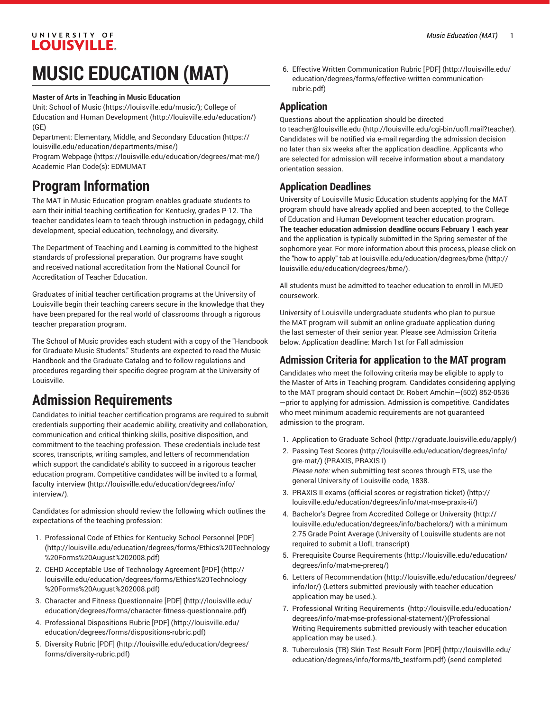#### UNIVERSITY OF **LOUISVILLE.**

# **MUSIC EDUCATION (MAT)**

#### **Master of Arts in Teaching in Music Education**

Unit: [School of Music \(https://louisville.edu/music/\)](https://louisville.edu/music/); [College of](http://louisville.edu/education/) Education and Human [Development](http://louisville.edu/education/) (<http://louisville.edu/education/>) (GE)

Department: [Elementary,](https://louisville.edu/education/departments/mise/) Middle, and Secondary Education ([https://](https://louisville.edu/education/departments/mise/) [louisville.edu/education/departments/mise/](https://louisville.edu/education/departments/mise/))

Program [Webpage](https://louisville.edu/education/degrees/mat-me/) [\(https://louisville.edu/education/degrees/mat-me/\)](https://louisville.edu/education/degrees/mat-me/) Academic Plan Code(s): EDMUMAT

### **Program Information**

The MAT in Music Education program enables graduate students to earn their initial teaching certification for Kentucky, grades P-12. The teacher candidates learn to teach through instruction in pedagogy, child development, special education, technology, and diversity.

The Department of Teaching and Learning is committed to the highest standards of professional preparation. Our programs have sought and received national accreditation from the National Council for Accreditation of Teacher Education.

Graduates of initial teacher certification programs at the University of Louisville begin their teaching careers secure in the knowledge that they have been prepared for the real world of classrooms through a rigorous teacher preparation program.

The School of Music provides each student with a copy of the "Handbook for Graduate Music Students." Students are expected to read the Music Handbook and the Graduate Catalog and to follow regulations and procedures regarding their specific degree program at the University of Louisville.

## **Admission Requirements**

Candidates to initial teacher certification programs are required to submit credentials supporting their academic ability, creativity and collaboration, communication and critical thinking skills, positive disposition, and commitment to the teaching profession. These credentials include test scores, transcripts, writing samples, and letters of recommendation which support the candidate's ability to succeed in a rigorous teacher education program. Competitive candidates will be invited to a [formal,](http://louisville.edu/education/degrees/info/interview/) faculty [interview](http://louisville.edu/education/degrees/info/interview/) ([http://louisville.edu/education/degrees/info/](http://louisville.edu/education/degrees/info/interview/) [interview/\)](http://louisville.edu/education/degrees/info/interview/).

Candidates for admission should review the following which outlines the expectations of the teaching profession:

- 1. [Professional](http://louisville.edu/education/degrees/forms/Ethics%20Technology%20Forms%20August%202008.pdf) Code of Ethics for Kentucky School Personnel [PDF] ([http://louisville.edu/education/degrees/forms/Ethics%20Technology](http://louisville.edu/education/degrees/forms/Ethics%20Technology%20Forms%20August%202008.pdf) [%20Forms%20August%202008.pdf](http://louisville.edu/education/degrees/forms/Ethics%20Technology%20Forms%20August%202008.pdf))
- 2. CEHD Acceptable Use of [Technology](http://louisville.edu/education/degrees/forms/Ethics%20Technology%20Forms%20August%202008.pdf) Agreement [PDF] ([http://](http://louisville.edu/education/degrees/forms/Ethics%20Technology%20Forms%20August%202008.pdf) [louisville.edu/education/degrees/forms/Ethics%20Technology](http://louisville.edu/education/degrees/forms/Ethics%20Technology%20Forms%20August%202008.pdf) [%20Forms%20August%202008.pdf](http://louisville.edu/education/degrees/forms/Ethics%20Technology%20Forms%20August%202008.pdf))
- 3. Character and Fitness [Questionnaire](http://louisville.edu/education/degrees/forms/character-fitness-questionnaire.pdf) [PDF] [\(http://louisville.edu/](http://louisville.edu/education/degrees/forms/character-fitness-questionnaire.pdf) [education/degrees/forms/character-fitness-questionnaire.pdf\)](http://louisville.edu/education/degrees/forms/character-fitness-questionnaire.pdf)
- 4. [Professional](http://louisville.edu/education/degrees/forms/dispositions-rubric.pdf) Dispositions Rubric [PDF] [\(http://louisville.edu/](http://louisville.edu/education/degrees/forms/dispositions-rubric.pdf) [education/degrees/forms/dispositions-rubric.pdf\)](http://louisville.edu/education/degrees/forms/dispositions-rubric.pdf)
- 5. [Diversity](http://louisville.edu/education/degrees/forms/diversity-rubric.pdf) Rubric [PDF] [\(http://louisville.edu/education/degrees/](http://louisville.edu/education/degrees/forms/diversity-rubric.pdf) [forms/diversity-rubric.pdf\)](http://louisville.edu/education/degrees/forms/diversity-rubric.pdf)

6. Effective Written [Communication](http://louisville.edu/education/degrees/forms/effective-written-communication-rubric.pdf) Rubric [PDF] [\(http://louisville.edu/](http://louisville.edu/education/degrees/forms/effective-written-communication-rubric.pdf) [education/degrees/forms/effective-written-communication](http://louisville.edu/education/degrees/forms/effective-written-communication-rubric.pdf)[rubric.pdf](http://louisville.edu/education/degrees/forms/effective-written-communication-rubric.pdf))

#### **Application**

Questions about the application should be directed

to [teacher@louisville.edu](http://louisville.edu/cgi-bin/uofl.mail?teacher) ([http://louisville.edu/cgi-bin/uofl.mail?teacher\)](http://louisville.edu/cgi-bin/uofl.mail?teacher). Candidates will be notified via e-mail regarding the admission decision no later than six weeks after the application deadline. Applicants who are selected for admission will receive information about a mandatory orientation session.

### **Application Deadlines**

University of Louisville Music Education students applying for the MAT program should have already applied and been accepted, to the College of Education and Human Development teacher education program. **The teacher education admission deadline occurs February 1 each year** and the application is typically submitted in the Spring semester of the sophomore year. For more information about this process, please click on the "how to apply" tab at [louisville.edu/education/degrees/bme](http://louisville.edu/education/degrees/bme/) ([http://](http://louisville.edu/education/degrees/bme/) [louisville.edu/education/degrees/bme/\)](http://louisville.edu/education/degrees/bme/).

All students must be admitted to teacher education to enroll in MUED coursework.

University of Louisville undergraduate students who plan to pursue the MAT program will submit an online graduate application during the last semester of their senior year. Please see Admission Criteria below. Application deadline: March 1st for Fall admission

#### **Admission Criteria for application to the MAT program**

Candidates who meet the following criteria may be eligible to apply to the Master of Arts in Teaching program. Candidates considering applying to the MAT program should contact Dr. Robert Amchin—(502) 852-0536 —prior to applying for admission. Admission is competitive. Candidates who meet minimum academic requirements are not guaranteed admission to the program.

- 1. [Application to Graduate School](http://graduate.louisville.edu/apply/) ([http://graduate.louisville.edu/apply/\)](http://graduate.louisville.edu/apply/)
- 2. [Passing](http://louisville.edu/education/degrees/info/gre-mat/) Test Scores [\(http://louisville.edu/education/degrees/info/](http://louisville.edu/education/degrees/info/gre-mat/) [gre-mat/](http://louisville.edu/education/degrees/info/gre-mat/)) (PRAXIS, PRAXIS I) *Please note:* when submitting test scores through ETS, use the general University of Louisville code, 1838.
- 3. PRAXIS II exams (official scores or [registration](http://louisville.edu/education/degrees/info/mat-mse-praxis-ii/) ticket) ([http://](http://louisville.edu/education/degrees/info/mat-mse-praxis-ii/) [louisville.edu/education/degrees/info/mat-mse-praxis-ii/](http://louisville.edu/education/degrees/info/mat-mse-praxis-ii/))
- 4. Bachelor's Degree from [Accredited](http://louisville.edu/education/degrees/info/bachelors/) College or University ([http://](http://louisville.edu/education/degrees/info/bachelors/) [louisville.edu/education/degrees/info/bachelors/\)](http://louisville.edu/education/degrees/info/bachelors/) with a minimum 2.75 Grade Point Average (University of Louisville students are not required to submit a UofL transcript)
- 5. Prerequisite Course [Requirements](http://louisville.edu/education/degrees/info/mat-me-prereq/) ([http://louisville.edu/education/](http://louisville.edu/education/degrees/info/mat-me-prereq/) [degrees/info/mat-me-prereq/](http://louisville.edu/education/degrees/info/mat-me-prereq/))
- 6. [Letters of Recommendation \(http://louisville.edu/education/degrees/](http://louisville.edu/education/degrees/info/lor/) [info/lor/](http://louisville.edu/education/degrees/info/lor/)) (Letters submitted previously with teacher education application may be used.).
- 7. Professional Writing [Requirements](http://louisville.edu/education/degrees/info/mat-mse-professional-statement/) ([http://louisville.edu/education/](http://louisville.edu/education/degrees/info/mat-mse-professional-statement/) [degrees/info/mat-mse-professional-statement/](http://louisville.edu/education/degrees/info/mat-mse-professional-statement/))(Professional Writing Requirements submitted previously with teacher education application may be used.).
- 8. [Tuberculosis](http://louisville.edu/education/degrees/info/forms/tb_testform.pdf) (TB) Skin Test Result Form [PDF] [\(http://louisville.edu/](http://louisville.edu/education/degrees/info/forms/tb_testform.pdf) [education/degrees/info/forms/tb\\_testform.pdf](http://louisville.edu/education/degrees/info/forms/tb_testform.pdf)) (send completed